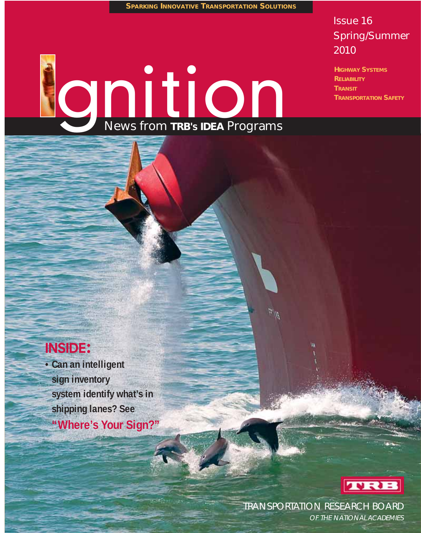**SPARKING INNOVATIVE TRANSPORTATION SOLUTIONS**

## Issue 16 Spring/Summer 2010

**HIGHWAY SYSTEMS RELIABILITY TRANSIT TRANSPORTATION SAFETY**

# ODITION

# **INSIDE:**

**• Can an intelligent sign inventory system identify what's in shipping lanes? See "Where's Your Sign?"**



TRANSPORTATION RESEARCH BOARD

 $\eta/\vec{r}$ 

OF THE NATIONAL ACADEMIES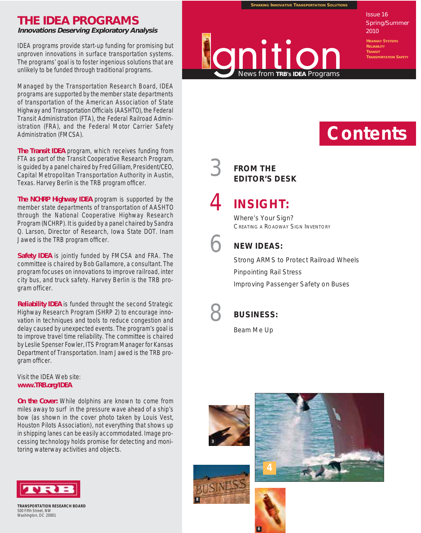# **THE IDEA PROGRAMS**

**Innovations Deserving Exploratory Analysis**

IDEA programs provide start-up funding for promising but unproven innovations in surface transportation systems. The programs' goal is to foster ingenious solutions that are unlikely to be funded through traditional programs.

Managed by the Transportation Research Board, IDEA programs are supported by the member state departments of transportation of the American Association of State Highway and Transportation Officials (AASHTO), the Federal Transit Administration (FTA), the Federal Railroad Administration (FRA), and the Federal Motor Carrier Safety Administration (FMCSA).

**The Transit IDEA** program, which receives funding from FTA as part of the Transit Cooperative Research Program, is guided by a panel chaired by Fred Gilliam, President/CEO, Capital Metropolitan Transportation Authority in Austin, Texas. Harvey Berlin is the TRB program officer.

**The NCHRP Highway IDEA** program is supported by the member state departments of transportation of AASHTO through the National Cooperative Highway Research Program (NCHRP). It is guided by a panel chaired by Sandra Q. Larson, Director of Research, Iowa State DOT. Inam Jawed is the TRB program officer.

**Safety IDEA** is jointly funded by FMCSA and FRA. The committee is chaired by Bob Gallamore, a consultant. The program focuses on innovations to improve railroad, inter city bus, and truck safety. Harvey Berlin is the TRB program officer.

**Reliability IDEA** is funded throught the second Strategic Highway Research Program (SHRP 2) to encourage innovation in techniques and tools to reduce congestion and delay caused by unexpected events. The program's goal is to improve travel time reliability. The committee is chaired by Leslie Spenser Fowler, ITS Program Manager for Kansas Department of Transportation. Inam Jawed is the TRB program officer.

Visit the IDEA Web site: **www.TRB.org/IDEA** 

**On the Cover:** While dolphins are known to come from miles away to surf in the pressure wave ahead of a ship's bow (as shown in the cover photo taken by Louis Vest, Houston Pilots Association), not everything that shows up in shipping lanes can be easily accommodated. Image processing technology holds promise for detecting and monitoring waterway activities and objects.



| <b>TRANSPORTATION RESEARCH BOARD</b> |
|--------------------------------------|
| 500 Fifth Street, NW                 |
| Washington, DC 20001                 |

**SPARKING INNOVATIVE TRANSPORTATION SOLUTIONS**



Issue 16 Spring/Summer 2010

**TRANSIT TRANSPORTATION SAFETY**

# **Contents**

# 3 **FROM THE EDITOR'S DESK**

4 **INSIGHT:**

Where's Your Sian? CREATING A ROADWAY SIGN INVENTORY



#### 6 **NEW IDEAS:**

Strong ARMS to Protect Railroad Wheels Pinpointing Rail Stress Improving Passenger Safety on Buses



#### 8 **BUSINESS:**

Beam Me Up





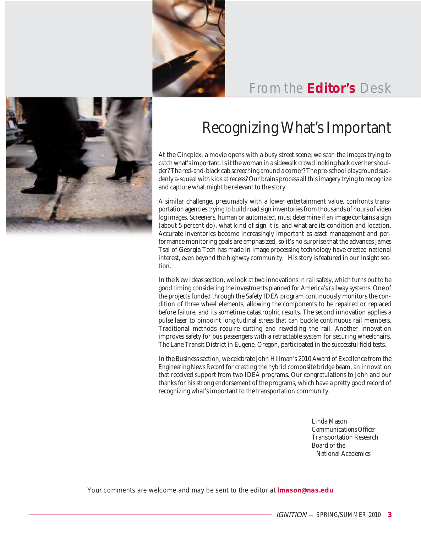

# From the **Editor's** Desk



# Recognizing What's Important

At the Cineplex, a movie opens with a busy street scene; we scan the images trying to catch what's important. Is it the woman in a sidewalk crowd looking back over her shoulder? The red-and-black cab screeching around a corner? The pre-school playground suddenly a-squeal with kids at recess? Our brains process all this imagery trying to recognize and capture what might be relevant to the story.

A similar challenge, presumably with a lower entertainment value, confronts transportation agencies trying to build road sign inventories from thousands of hours of video log images. Screeners, human or automated, must determine if an image contains a sign (about 5 percent do), what kind of sign it is, and what are its condition and location. Accurate inventories become increasingly important as asset management and performance monitoring goals are emphasized, so it's no surprise that the advances James Tsai of Georgia Tech has made in image processing technology have created national interest, even beyond the highway community. His story is featured in our Insight section.

In the New Ideas section, we look at two innovations in rail safety, which turns out to be good timing considering the investments planned for America's railway systems. One of the projects funded through the Safety IDEA program continuously monitors the condition of three wheel elements, allowing the components to be repaired or replaced before failure, and its sometime catastrophic results. The second innovation applies a pulse laser to pinpoint longitudinal stress that can buckle continuous rail members. Traditional methods require cutting and rewelding the rail. Another innovation improves safety for bus passengers with a retractable system for securing wheelchairs. The Lane Transit District in Eugene, Oregon, participated in the successful field tests.

In the Business section, we celebrate John Hillman's 2010 Award of Excellence from the *Engineering News Record* for creating the hybrid composite bridge beam, an innovation that received support from two IDEA programs. Our congratulations to John and our thanks for his strong endorsement of the programs, which have a pretty good record of recognizing what's important to the transportation community.

> Linda Mason *Communications Officer* Transportation Research Board of the National Academies

Your comments are welcome and may be sent to the editor at **lmason@nas.edu**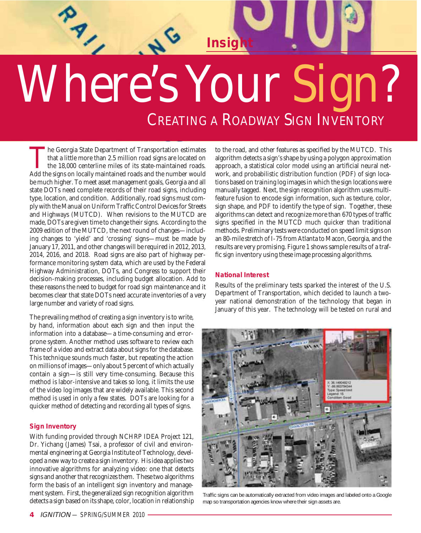# Where's Your Sign? CREATING A ROADWAY SIGN INVENTORY

**Insight** 

The Georgia State Department of Transportation estimates that a little more than 2.5 million road signs are located on the 18,000 centerline miles of its state-maintained roads. Add the signs on locally maintained roads and the number would be much higher. To meet asset management goals, Georgia and all state DOTs need complete records of their road signs, including type, location, and condition. Additionally, road signs must comply with the Manual on Uniform Traffic Control Devices for Streets and Highways (MUTCD). When revisions to the MUTCD are made, DOTs are given time to change their signs. According to the 2009 edition of the MUTCD, the next round of changes—including changes to 'yield' and 'crossing' signs—must be made by January 17, 2011, and other changes will be required in 2012, 2013, 2014, 2016, and 2018. Road signs are also part of highway performance monitoring system data, which are used by the Federal Highway Administration, DOTs, and Congress to support their decision-making processes, including budget allocation. Add to these reasons the need to budget for road sign maintenance and it becomes clear that state DOTs need accurate inventories of a very large number and variety of road signs.

The prevailing method of creating a sign inventory is to write, by hand, information about each sign and then input the information into a database—a time-consuming and errorprone system. Another method uses software to review each frame of a video and extract data about signs for the database. This technique sounds much faster, but repeating the action on millions of images—only about 5 percent of which actually contain a sign—is still very time-consuming. Because this method is labor-intensive and takes so long, it limits the use of the video log images that are widely available. This second method is used in only a few states. DOTs are looking for a quicker method of detecting and recording all types of signs.

#### **Sign Inventory**

With funding provided through NCHRP IDEA Project 121, Dr. Yichang (James) Tsai, a professor of civil and environmental engineering at Georgia Institute of Technology, developed a new way to create a sign inventory. His idea applies two innovative algorithms for analyzing video: one that detects signs and another that recognizes them. These two algorithms form the basis of an intelligent sign inventory and management system. First, the generalized sign recognition algorithm detects a sign based on its shape, color, location in relationship

to the road, and other features as specified by the MUTCD. This algorithm detects a sign's shape by using a polygon approximation approach, a statistical color model using an artificial neural network, and probabilistic distribution function (PDF) of sign locations based on training log images in which the sign locations were manually tagged. Next, the sign recognition algorithm uses multifeature fusion to encode sign information, such as texture, color, sign shape, and PDF to identify the type of sign. Together, these algorithms can detect and recognize more than 670 types of traffic signs specified in the MUTCD much quicker than traditional methods. Preliminary tests were conducted on speed limit signs on an 80-mile stretch of I-75 from Atlanta to Macon, Georgia, and the results are very promising. Figure 1 shows sample results of a traffic sign inventory using these image processing algorithms.

#### **National Interest**

Results of the preliminary tests sparked the interest of the U.S. Department of Transportation, which decided to launch a twoyear national demonstration of the technology that began in January of this year. The technology will be tested on rural and



Traffic signs can be automatically extracted from video images and labeled onto a Google map so transportation agencies know where their sign assets are.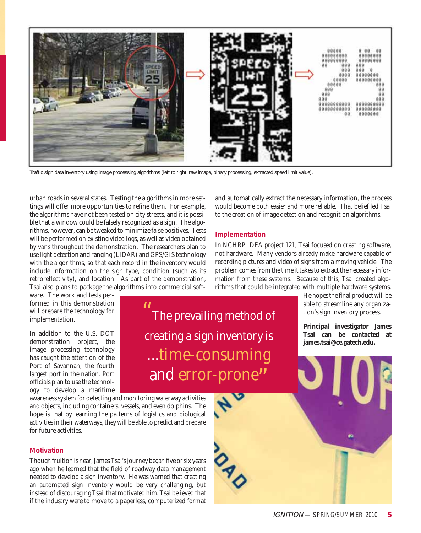

Traffic sign data inventory using image processing algorithms (left to right: raw image, binary processing, extracted speed limit value).

urban roads in several states. Testing the algorithms in more settings will offer more opportunities to refine them. For example, the algorithms have not been tested on city streets, and it is possible that a window could be falsely recognized as a sign. The algorithms, however, can be tweaked to minimize false positives. Tests will be performed on existing video logs, as well as video obtained by vans throughout the demonstration. The researchers plan to use light detection and ranging (LIDAR) and GPS/GIS technology with the algorithms, so that each record in the inventory would include information on the sign type, condition (such as its retroreflectivity), and location. As part of the demonstration, Tsai also plans to package the algorithms into commercial soft-

"

ware. The work and tests performed in this demonstration will prepare the technology for implementation.

In addition to the U.S. DOT demonstration project, the image processing technology has caught the attention of the Port of Savannah, the fourth largest port in the nation. Port officials plan to use the technology to develop a maritime

awareness system for detecting and monitoring waterway activities and objects, including containers, vessels, and even dolphins. The hope is that by learning the patterns of logistics and biological activities in their waterways, they will be able to predict and prepare for future activities.

#### **Motivation**

Though fruition is near, James Tsai's journey began five or six years ago when he learned that the field of roadway data management needed to develop a sign inventory. He was warned that creating an automated sign inventory would be very challenging, but instead of discouraging Tsai, that motivated him. Tsai believed that if the industry were to move to a paperless, computerized format

and automatically extract the necessary information, the process would become both easier and more reliable. That belief led Tsai to the creation of image detection and recognition algorithms.

#### **Implementation**

The prevailing method of

creating a sign inventory is

...time-consuming

and error-prone"

In NCHRP IDEA project 121, Tsai focused on creating software, not hardware. Many vendors already make hardware capable of recording pictures and video of signs from a moving vehicle. The problem comes from the time it takes to extract the necessary information from these systems. Because of this, Tsai created algorithms that could be integrated with multiple hardware systems.

> He hopes the final product will be able to streamline any organization's sign inventory process.

> **Principal investigator James Tsai can be contacted at james.tsai@ce.gatech.edu.**

IGNITION — SPRING/SUMMER 2010 **5**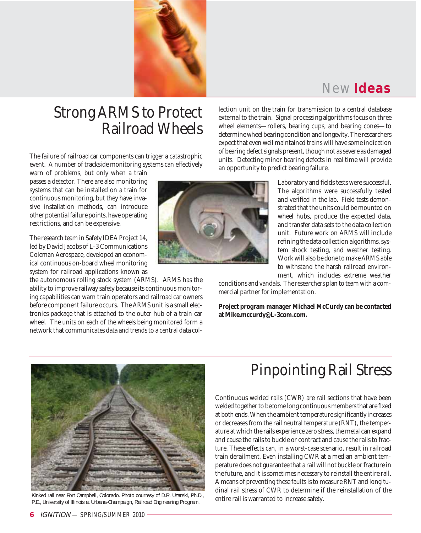

# New **Ideas**

# Strong ARMS to Protect Railroad Wheels

The failure of railroad car components can trigger a catastrophic event. A number of trackside monitoring systems can effectively

warn of problems, but only when a train passes a detector. There are also monitoring systems that can be installed on a train for continuous monitoring, but they have invasive installation methods, can introduce other potential failure points, have operating restrictions, and can be expensive.

The research team in Safety IDEA Project 14, led by David Jacobs of L-3 Communications Coleman Aerospace, developed an economical continuous on-board wheel monitoring system for railroad applications known as

the autonomous rolling stock system (ARMS). ARMS has the ability to improve railway safety because its continuous monitoring capabilities can warn train operators and railroad car owners before component failure occurs. The ARMS unit is a small electronics package that is attached to the outer hub of a train car wheel. The units on each of the wheels being monitored form a network that communicates data and trends to a central data collection unit on the train for transmission to a central database external to the train. Signal processing algorithms focus on three wheel elements—rollers, bearing cups, and bearing cones—to determine wheel bearing condition and longevity. The researchers expect that even well maintained trains will have some indication of bearing defect signals present, though not as severe as damaged units. Detecting minor bearing defects in real time will provide an opportunity to predict bearing failure.

> Laboratory and fields tests were successful. The algorithms were successfully tested and verified in the lab. Field tests demonstrated that the units could be mounted on wheel hubs, produce the expected data, and transfer data sets to the data collection unit. Future work on ARMS will include refining the data collection algorithms, system shock testing, and weather testing. Work will also be done to make ARMS able to withstand the harsh railroad environment, which includes extreme weather

conditions and vandals. The researchers plan to team with a commercial partner for implementation.

**Project program manager Michael McCurdy can be contacted at Mike.mccurdy@L-3com.com.** 



Kinked rail near Fort Campbell, Colorado. Photo courtesy of D.R. Uzarski, Ph.D.,<br>R.E. University of Illineis at Urbane Champejan, Deilread Engineering Program, entire rail is warranted to increase safety. P.E., University of Illinois at Urbana-Champaign, Railroad Engineering Program.

# Pinpointing Rail Stress

Continuous welded rails (CWR) are rail sections that have been welded together to become long continuous members that are fixed at both ends. When the ambient temperature significantly increases or decreases from the rail neutral temperature (RNT), the temperature at which the rails experience zero stress, the metal can expand and cause the rails to buckle or contract and cause the rails to fracture. These effects can, in a worst-case scenario, result in railroad train derailment. Even installing CWR at a median ambient temperature does not guarantee that a rail will not buckle or fracture in the future, and it is sometimes necessary to reinstall the entire rail. A means of preventing these faults is to measure RNT and longitudinal rail stress of CWR to determine if the reinstallation of the

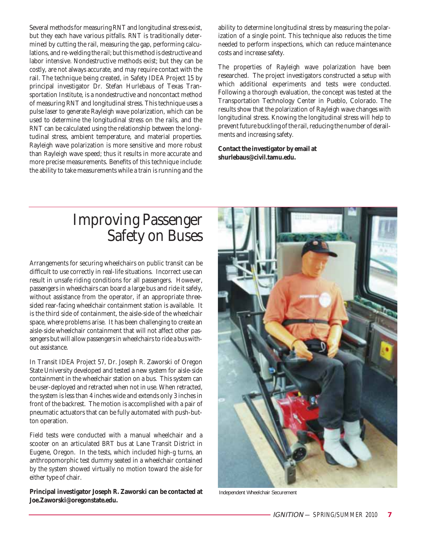Several methods for measuring RNT and longitudinal stress exist, but they each have various pitfalls. RNT is traditionally determined by cutting the rail, measuring the gap, performing calculations, and re-welding the rail; but this method is destructive and labor intensive. Nondestructive methods exist; but they can be costly, are not always accurate, and may require contact with the rail. The technique being created, in Safety IDEA Project 15 by principal investigator Dr. Stefan Hurlebaus of Texas Transportation Institute, is a nondestructive and noncontact method of measuring RNT and longitudinal stress. This technique uses a pulse laser to generate Rayleigh wave polarization, which can be used to determine the longitudinal stress on the rails, and the RNT can be calculated using the relationship between the longitudinal stress, ambient temperature, and material properties. Rayleigh wave polarization is more sensitive and more robust than Rayleigh wave speed; thus it results in more accurate and more precise measurements. Benefits of this technique include: the ability to take measurements while a train is running and the ability to determine longitudinal stress by measuring the polarization of a single point. This technique also reduces the time needed to perform inspections, which can reduce maintenance costs and increase safety.

The properties of Rayleigh wave polarization have been researched. The project investigators constructed a setup with which additional experiments and tests were conducted. Following a thorough evaluation, the concept was tested at the Transportation Technology Center in Pueblo, Colorado. The results show that the polarization of Rayleigh wave changes with longitudinal stress. Knowing the longitudinal stress will help to prevent future buckling of the rail, reducing the number of derailments and increasing safety.

**Contact the investigator by email at shurlebaus@civil.tamu.edu.**

# Improving Passenger Safety on Buses

Arrangements for securing wheelchairs on public transit can be difficult to use correctly in real-life situations. Incorrect use can result in unsafe riding conditions for all passengers. However, passengers in wheelchairs can board a large bus and ride it safely, without assistance from the operator, if an appropriate threesided rear-facing wheelchair containment station is available. It is the third side of containment, the aisle-side of the wheelchair space, where problems arise. It has been challenging to create an aisle-side wheelchair containment that will not affect other passengers but will allow passengers in wheelchairs to ride a bus without assistance.

In Transit IDEA Project 57, Dr. Joseph R. Zaworski of Oregon State University developed and tested a new system for aisle-side containment in the wheelchair station on a bus. This system can be user-deployed and retracted when not in use. When retracted, the system is less than 4 inches wide and extends only 3 inches in front of the backrest. The motion is accomplished with a pair of pneumatic actuators that can be fully automated with push-button operation.

Field tests were conducted with a manual wheelchair and a scooter on an articulated BRT bus at Lane Transit District in Eugene, Oregon. In the tests, which included high-g turns, an anthropomorphic test dummy seated in a wheelchair contained by the system showed virtually no motion toward the aisle for either type of chair.

**Principal investigator Joseph R. Zaworski can be contacted at Joe.Zaworski@oregonstate.edu.** 



Independent Wheelchair Securement